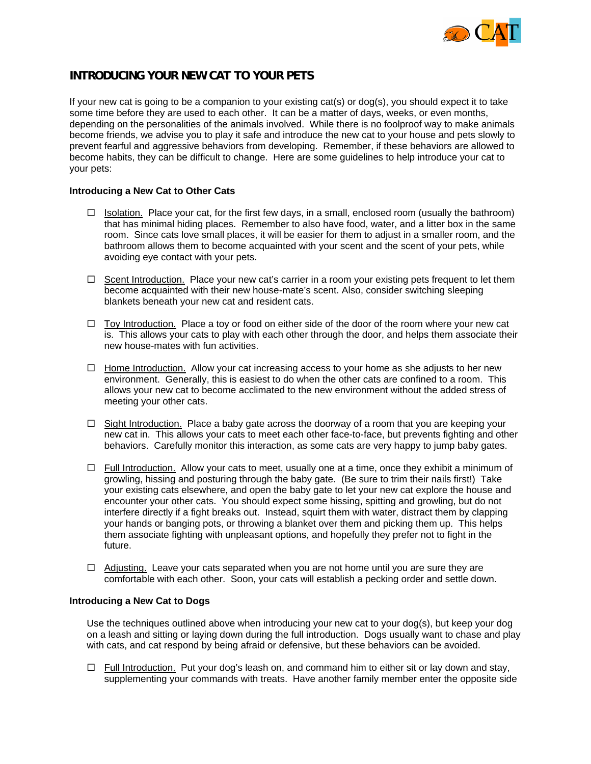

## **INTRODUCING YOUR NEW CAT TO YOUR PETS**

If your new cat is going to be a companion to your existing cat(s) or dog(s), you should expect it to take some time before they are used to each other. It can be a matter of days, weeks, or even months, depending on the personalities of the animals involved. While there is no foolproof way to make animals become friends, we advise you to play it safe and introduce the new cat to your house and pets slowly to prevent fearful and aggressive behaviors from developing. Remember, if these behaviors are allowed to become habits, they can be difficult to change. Here are some guidelines to help introduce your cat to your pets:

## **Introducing a New Cat to Other Cats**

- $\Box$  Isolation. Place your cat, for the first few days, in a small, enclosed room (usually the bathroom) that has minimal hiding places. Remember to also have food, water, and a litter box in the same room. Since cats love small places, it will be easier for them to adjust in a smaller room, and the bathroom allows them to become acquainted with your scent and the scent of your pets, while avoiding eye contact with your pets.
- $\Box$  Scent Introduction. Place your new cat's carrier in a room your existing pets frequent to let them become acquainted with their new house-mate's scent. Also, consider switching sleeping blankets beneath your new cat and resident cats.
- $\Box$  Toy Introduction. Place a toy or food on either side of the door of the room where your new cat is. This allows your cats to play with each other through the door, and helps them associate their new house-mates with fun activities.
- $\Box$  Home Introduction. Allow your cat increasing access to your home as she adjusts to her new environment. Generally, this is easiest to do when the other cats are confined to a room. This allows your new cat to become acclimated to the new environment without the added stress of meeting your other cats.
- $\Box$  Sight Introduction. Place a baby gate across the doorway of a room that you are keeping your new cat in. This allows your cats to meet each other face-to-face, but prevents fighting and other behaviors. Carefully monitor this interaction, as some cats are very happy to jump baby gates.
- $\Box$  Full Introduction. Allow your cats to meet, usually one at a time, once they exhibit a minimum of growling, hissing and posturing through the baby gate. (Be sure to trim their nails first!) Take your existing cats elsewhere, and open the baby gate to let your new cat explore the house and encounter your other cats. You should expect some hissing, spitting and growling, but do not interfere directly if a fight breaks out. Instead, squirt them with water, distract them by clapping your hands or banging pots, or throwing a blanket over them and picking them up. This helps them associate fighting with unpleasant options, and hopefully they prefer not to fight in the future.
- $\Box$  Adjusting. Leave your cats separated when you are not home until you are sure they are comfortable with each other. Soon, your cats will establish a pecking order and settle down.

## **Introducing a New Cat to Dogs**

Use the techniques outlined above when introducing your new cat to your dog(s), but keep your dog on a leash and sitting or laying down during the full introduction. Dogs usually want to chase and play with cats, and cat respond by being afraid or defensive, but these behaviors can be avoided.

 $\Box$  Full Introduction. Put your dog's leash on, and command him to either sit or lay down and stay, supplementing your commands with treats. Have another family member enter the opposite side